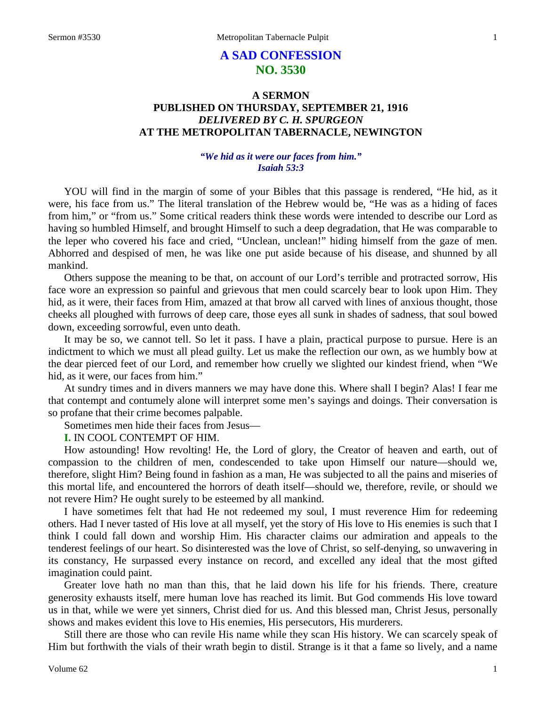# **A SAD CONFESSION NO. 3530**

## **A SERMON PUBLISHED ON THURSDAY, SEPTEMBER 21, 1916** *DELIVERED BY C. H. SPURGEON* **AT THE METROPOLITAN TABERNACLE, NEWINGTON**

## *"We hid as it were our faces from him." Isaiah 53:3*

YOU will find in the margin of some of your Bibles that this passage is rendered, "He hid, as it were, his face from us." The literal translation of the Hebrew would be, "He was as a hiding of faces from him," or "from us." Some critical readers think these words were intended to describe our Lord as having so humbled Himself, and brought Himself to such a deep degradation, that He was comparable to the leper who covered his face and cried, "Unclean, unclean!" hiding himself from the gaze of men. Abhorred and despised of men, he was like one put aside because of his disease, and shunned by all mankind.

Others suppose the meaning to be that, on account of our Lord's terrible and protracted sorrow, His face wore an expression so painful and grievous that men could scarcely bear to look upon Him. They hid, as it were, their faces from Him, amazed at that brow all carved with lines of anxious thought, those cheeks all ploughed with furrows of deep care, those eyes all sunk in shades of sadness, that soul bowed down, exceeding sorrowful, even unto death.

It may be so, we cannot tell. So let it pass. I have a plain, practical purpose to pursue. Here is an indictment to which we must all plead guilty. Let us make the reflection our own, as we humbly bow at the dear pierced feet of our Lord, and remember how cruelly we slighted our kindest friend, when "We hid, as it were, our faces from him."

At sundry times and in divers manners we may have done this. Where shall I begin? Alas! I fear me that contempt and contumely alone will interpret some men's sayings and doings. Their conversation is so profane that their crime becomes palpable.

Sometimes men hide their faces from Jesus—

**I.** IN COOL CONTEMPT OF HIM.

How astounding! How revolting! He, the Lord of glory, the Creator of heaven and earth, out of compassion to the children of men, condescended to take upon Himself our nature—should we, therefore, slight Him? Being found in fashion as a man, He was subjected to all the pains and miseries of this mortal life, and encountered the horrors of death itself—should we, therefore, revile, or should we not revere Him? He ought surely to be esteemed by all mankind.

I have sometimes felt that had He not redeemed my soul, I must reverence Him for redeeming others. Had I never tasted of His love at all myself, yet the story of His love to His enemies is such that I think I could fall down and worship Him. His character claims our admiration and appeals to the tenderest feelings of our heart. So disinterested was the love of Christ, so self-denying, so unwavering in its constancy, He surpassed every instance on record, and excelled any ideal that the most gifted imagination could paint.

Greater love hath no man than this, that he laid down his life for his friends. There, creature generosity exhausts itself, mere human love has reached its limit. But God commends His love toward us in that, while we were yet sinners, Christ died for us. And this blessed man, Christ Jesus, personally shows and makes evident this love to His enemies, His persecutors, His murderers.

Still there are those who can revile His name while they scan His history. We can scarcely speak of Him but forthwith the vials of their wrath begin to distil. Strange is it that a fame so lively, and a name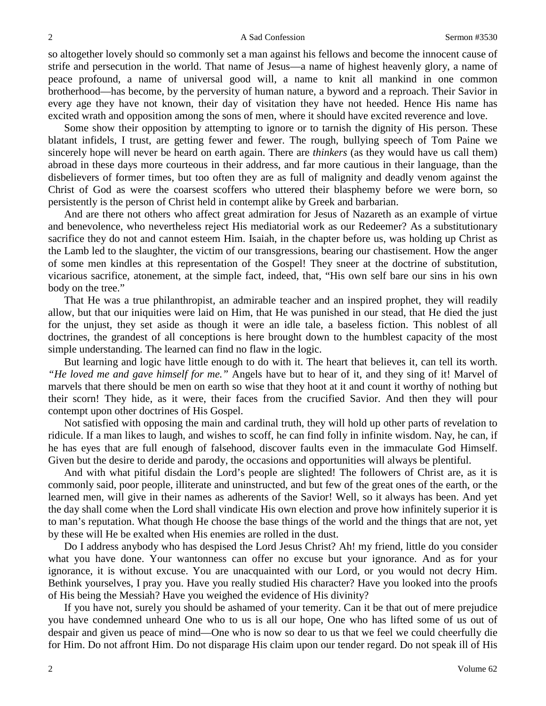so altogether lovely should so commonly set a man against his fellows and become the innocent cause of strife and persecution in the world. That name of Jesus—a name of highest heavenly glory, a name of peace profound, a name of universal good will, a name to knit all mankind in one common brotherhood—has become, by the perversity of human nature, a byword and a reproach. Their Savior in every age they have not known, their day of visitation they have not heeded. Hence His name has excited wrath and opposition among the sons of men, where it should have excited reverence and love.

Some show their opposition by attempting to ignore or to tarnish the dignity of His person. These blatant infidels, I trust, are getting fewer and fewer. The rough, bullying speech of Tom Paine we sincerely hope will never be heard on earth again. There are *thinkers* (as they would have us call them) abroad in these days more courteous in their address, and far more cautious in their language, than the disbelievers of former times, but too often they are as full of malignity and deadly venom against the Christ of God as were the coarsest scoffers who uttered their blasphemy before we were born, so persistently is the person of Christ held in contempt alike by Greek and barbarian.

And are there not others who affect great admiration for Jesus of Nazareth as an example of virtue and benevolence, who nevertheless reject His mediatorial work as our Redeemer? As a substitutionary sacrifice they do not and cannot esteem Him. Isaiah, in the chapter before us, was holding up Christ as the Lamb led to the slaughter, the victim of our transgressions, bearing our chastisement. How the anger of some men kindles at this representation of the Gospel! They sneer at the doctrine of substitution, vicarious sacrifice, atonement, at the simple fact, indeed, that, "His own self bare our sins in his own body on the tree."

That He was a true philanthropist, an admirable teacher and an inspired prophet, they will readily allow, but that our iniquities were laid on Him, that He was punished in our stead, that He died the just for the unjust, they set aside as though it were an idle tale, a baseless fiction. This noblest of all doctrines, the grandest of all conceptions is here brought down to the humblest capacity of the most simple understanding. The learned can find no flaw in the logic.

But learning and logic have little enough to do with it. The heart that believes it, can tell its worth. *"He loved me and gave himself for me."* Angels have but to hear of it, and they sing of it! Marvel of marvels that there should be men on earth so wise that they hoot at it and count it worthy of nothing but their scorn! They hide, as it were, their faces from the crucified Savior. And then they will pour contempt upon other doctrines of His Gospel.

Not satisfied with opposing the main and cardinal truth, they will hold up other parts of revelation to ridicule. If a man likes to laugh, and wishes to scoff, he can find folly in infinite wisdom. Nay, he can, if he has eyes that are full enough of falsehood, discover faults even in the immaculate God Himself. Given but the desire to deride and parody, the occasions and opportunities will always be plentiful.

And with what pitiful disdain the Lord's people are slighted! The followers of Christ are, as it is commonly said, poor people, illiterate and uninstructed, and but few of the great ones of the earth, or the learned men, will give in their names as adherents of the Savior! Well, so it always has been. And yet the day shall come when the Lord shall vindicate His own election and prove how infinitely superior it is to man's reputation. What though He choose the base things of the world and the things that are not, yet by these will He be exalted when His enemies are rolled in the dust.

Do I address anybody who has despised the Lord Jesus Christ? Ah! my friend, little do you consider what you have done. Your wantonness can offer no excuse but your ignorance. And as for your ignorance, it is without excuse. You are unacquainted with our Lord, or you would not decry Him. Bethink yourselves, I pray you. Have you really studied His character? Have you looked into the proofs of His being the Messiah? Have you weighed the evidence of His divinity?

If you have not, surely you should be ashamed of your temerity. Can it be that out of mere prejudice you have condemned unheard One who to us is all our hope, One who has lifted some of us out of despair and given us peace of mind—One who is now so dear to us that we feel we could cheerfully die for Him. Do not affront Him. Do not disparage His claim upon our tender regard. Do not speak ill of His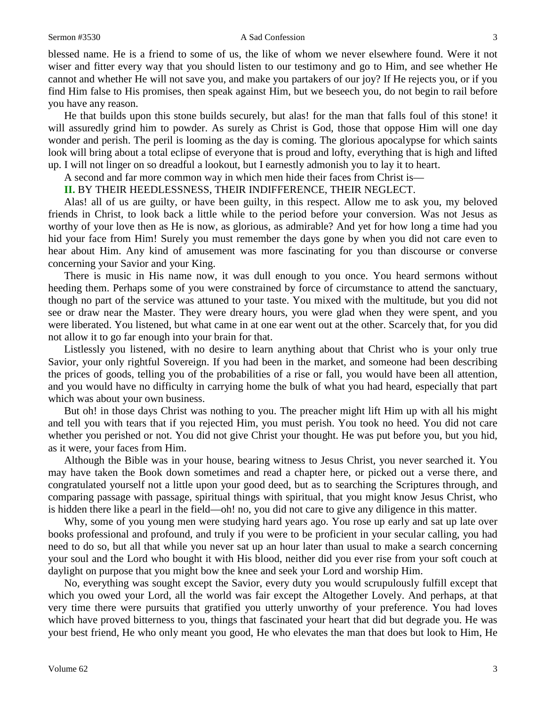#### Sermon #3530 A Sad Confession 3

blessed name. He is a friend to some of us, the like of whom we never elsewhere found. Were it not wiser and fitter every way that you should listen to our testimony and go to Him, and see whether He cannot and whether He will not save you, and make you partakers of our joy? If He rejects you, or if you find Him false to His promises, then speak against Him, but we beseech you, do not begin to rail before you have any reason.

He that builds upon this stone builds securely, but alas! for the man that falls foul of this stone! it will assuredly grind him to powder. As surely as Christ is God, those that oppose Him will one day wonder and perish. The peril is looming as the day is coming. The glorious apocalypse for which saints look will bring about a total eclipse of everyone that is proud and lofty, everything that is high and lifted up. I will not linger on so dreadful a lookout, but I earnestly admonish you to lay it to heart.

A second and far more common way in which men hide their faces from Christ is—

## **II.** BY THEIR HEEDLESSNESS, THEIR INDIFFERENCE, THEIR NEGLECT.

Alas! all of us are guilty, or have been guilty, in this respect. Allow me to ask you, my beloved friends in Christ, to look back a little while to the period before your conversion. Was not Jesus as worthy of your love then as He is now, as glorious, as admirable? And yet for how long a time had you hid your face from Him! Surely you must remember the days gone by when you did not care even to hear about Him. Any kind of amusement was more fascinating for you than discourse or converse concerning your Savior and your King.

There is music in His name now, it was dull enough to you once. You heard sermons without heeding them. Perhaps some of you were constrained by force of circumstance to attend the sanctuary, though no part of the service was attuned to your taste. You mixed with the multitude, but you did not see or draw near the Master. They were dreary hours, you were glad when they were spent, and you were liberated. You listened, but what came in at one ear went out at the other. Scarcely that, for you did not allow it to go far enough into your brain for that.

Listlessly you listened, with no desire to learn anything about that Christ who is your only true Savior, your only rightful Sovereign. If you had been in the market, and someone had been describing the prices of goods, telling you of the probabilities of a rise or fall, you would have been all attention, and you would have no difficulty in carrying home the bulk of what you had heard, especially that part which was about your own business.

But oh! in those days Christ was nothing to you. The preacher might lift Him up with all his might and tell you with tears that if you rejected Him, you must perish. You took no heed. You did not care whether you perished or not. You did not give Christ your thought. He was put before you, but you hid, as it were, your faces from Him.

Although the Bible was in your house, bearing witness to Jesus Christ, you never searched it. You may have taken the Book down sometimes and read a chapter here, or picked out a verse there, and congratulated yourself not a little upon your good deed, but as to searching the Scriptures through, and comparing passage with passage, spiritual things with spiritual, that you might know Jesus Christ, who is hidden there like a pearl in the field—oh! no, you did not care to give any diligence in this matter.

Why, some of you young men were studying hard years ago. You rose up early and sat up late over books professional and profound, and truly if you were to be proficient in your secular calling, you had need to do so, but all that while you never sat up an hour later than usual to make a search concerning your soul and the Lord who bought it with His blood, neither did you ever rise from your soft couch at daylight on purpose that you might bow the knee and seek your Lord and worship Him.

No, everything was sought except the Savior, every duty you would scrupulously fulfill except that which you owed your Lord, all the world was fair except the Altogether Lovely. And perhaps, at that very time there were pursuits that gratified you utterly unworthy of your preference. You had loves which have proved bitterness to you, things that fascinated your heart that did but degrade you. He was your best friend, He who only meant you good, He who elevates the man that does but look to Him, He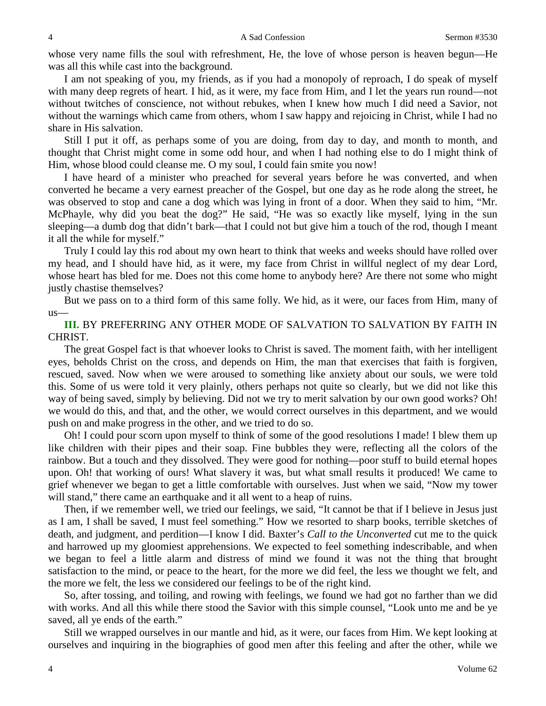whose very name fills the soul with refreshment, He, the love of whose person is heaven begun—He was all this while cast into the background.

I am not speaking of you, my friends, as if you had a monopoly of reproach, I do speak of myself with many deep regrets of heart. I hid, as it were, my face from Him, and I let the years run round—not without twitches of conscience, not without rebukes, when I knew how much I did need a Savior, not without the warnings which came from others, whom I saw happy and rejoicing in Christ, while I had no share in His salvation.

Still I put it off, as perhaps some of you are doing, from day to day, and month to month, and thought that Christ might come in some odd hour, and when I had nothing else to do I might think of Him, whose blood could cleanse me. O my soul, I could fain smite you now!

I have heard of a minister who preached for several years before he was converted, and when converted he became a very earnest preacher of the Gospel, but one day as he rode along the street, he was observed to stop and cane a dog which was lying in front of a door. When they said to him, "Mr. McPhayle, why did you beat the dog?" He said, "He was so exactly like myself, lying in the sun sleeping—a dumb dog that didn't bark—that I could not but give him a touch of the rod, though I meant it all the while for myself."

Truly I could lay this rod about my own heart to think that weeks and weeks should have rolled over my head, and I should have hid, as it were, my face from Christ in willful neglect of my dear Lord, whose heart has bled for me. Does not this come home to anybody here? Are there not some who might justly chastise themselves?

But we pass on to a third form of this same folly. We hid, as it were, our faces from Him, many of us—

## **III.** BY PREFERRING ANY OTHER MODE OF SALVATION TO SALVATION BY FAITH IN CHRIST.

The great Gospel fact is that whoever looks to Christ is saved. The moment faith, with her intelligent eyes, beholds Christ on the cross, and depends on Him, the man that exercises that faith is forgiven, rescued, saved. Now when we were aroused to something like anxiety about our souls, we were told this. Some of us were told it very plainly, others perhaps not quite so clearly, but we did not like this way of being saved, simply by believing. Did not we try to merit salvation by our own good works? Oh! we would do this, and that, and the other, we would correct ourselves in this department, and we would push on and make progress in the other, and we tried to do so.

Oh! I could pour scorn upon myself to think of some of the good resolutions I made! I blew them up like children with their pipes and their soap. Fine bubbles they were, reflecting all the colors of the rainbow. But a touch and they dissolved. They were good for nothing—poor stuff to build eternal hopes upon. Oh! that working of ours! What slavery it was, but what small results it produced! We came to grief whenever we began to get a little comfortable with ourselves. Just when we said, "Now my tower will stand," there came an earthquake and it all went to a heap of ruins.

Then, if we remember well, we tried our feelings, we said, "It cannot be that if I believe in Jesus just as I am, I shall be saved, I must feel something." How we resorted to sharp books, terrible sketches of death, and judgment, and perdition—I know I did. Baxter's *Call to the Unconverted* cut me to the quick and harrowed up my gloomiest apprehensions. We expected to feel something indescribable, and when we began to feel a little alarm and distress of mind we found it was not the thing that brought satisfaction to the mind, or peace to the heart, for the more we did feel, the less we thought we felt, and the more we felt, the less we considered our feelings to be of the right kind.

So, after tossing, and toiling, and rowing with feelings, we found we had got no farther than we did with works. And all this while there stood the Savior with this simple counsel, "Look unto me and be ye saved, all ye ends of the earth."

Still we wrapped ourselves in our mantle and hid, as it were, our faces from Him. We kept looking at ourselves and inquiring in the biographies of good men after this feeling and after the other, while we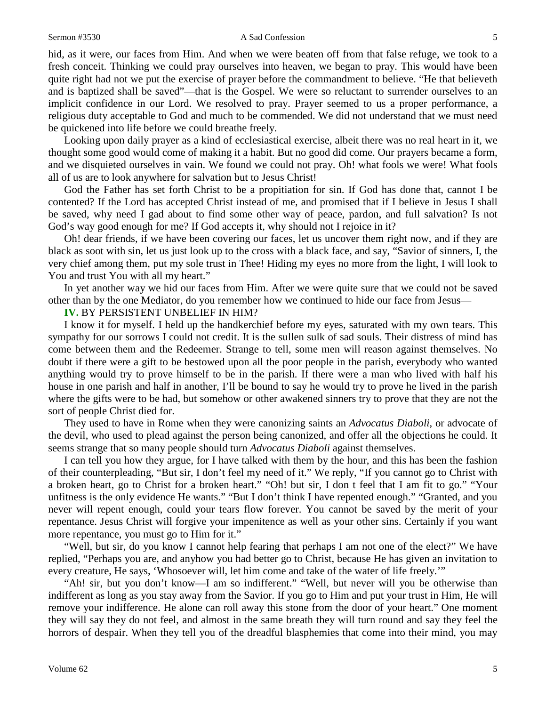### Sermon #3530 **A Sad Confession** 5

hid, as it were, our faces from Him. And when we were beaten off from that false refuge, we took to a fresh conceit. Thinking we could pray ourselves into heaven, we began to pray. This would have been quite right had not we put the exercise of prayer before the commandment to believe. "He that believeth and is baptized shall be saved"—that is the Gospel. We were so reluctant to surrender ourselves to an implicit confidence in our Lord. We resolved to pray. Prayer seemed to us a proper performance, a religious duty acceptable to God and much to be commended. We did not understand that we must need be quickened into life before we could breathe freely.

Looking upon daily prayer as a kind of ecclesiastical exercise, albeit there was no real heart in it, we thought some good would come of making it a habit. But no good did come. Our prayers became a form, and we disquieted ourselves in vain. We found we could not pray. Oh! what fools we were! What fools all of us are to look anywhere for salvation but to Jesus Christ!

God the Father has set forth Christ to be a propitiation for sin. If God has done that, cannot I be contented? If the Lord has accepted Christ instead of me, and promised that if I believe in Jesus I shall be saved, why need I gad about to find some other way of peace, pardon, and full salvation? Is not God's way good enough for me? If God accepts it, why should not I rejoice in it?

Oh! dear friends, if we have been covering our faces, let us uncover them right now, and if they are black as soot with sin, let us just look up to the cross with a black face, and say, "Savior of sinners, I, the very chief among them, put my sole trust in Thee! Hiding my eyes no more from the light, I will look to You and trust You with all my heart."

In yet another way we hid our faces from Him. After we were quite sure that we could not be saved other than by the one Mediator, do you remember how we continued to hide our face from Jesus—

## **IV.** BY PERSISTENT UNBELIEF IN HIM?

I know it for myself. I held up the handkerchief before my eyes, saturated with my own tears. This sympathy for our sorrows I could not credit. It is the sullen sulk of sad souls. Their distress of mind has come between them and the Redeemer. Strange to tell, some men will reason against themselves. No doubt if there were a gift to be bestowed upon all the poor people in the parish, everybody who wanted anything would try to prove himself to be in the parish. If there were a man who lived with half his house in one parish and half in another, I'll be bound to say he would try to prove he lived in the parish where the gifts were to be had, but somehow or other awakened sinners try to prove that they are not the sort of people Christ died for.

They used to have in Rome when they were canonizing saints an *Advocatus Diaboli*, or advocate of the devil, who used to plead against the person being canonized, and offer all the objections he could. It seems strange that so many people should turn *Advocatus Diaboli* against themselves.

I can tell you how they argue, for I have talked with them by the hour, and this has been the fashion of their counterpleading, "But sir, I don't feel my need of it." We reply, "If you cannot go to Christ with a broken heart, go to Christ for a broken heart." "Oh! but sir, I don t feel that I am fit to go." "Your unfitness is the only evidence He wants." "But I don't think I have repented enough." "Granted, and you never will repent enough, could your tears flow forever. You cannot be saved by the merit of your repentance. Jesus Christ will forgive your impenitence as well as your other sins. Certainly if you want more repentance, you must go to Him for it."

"Well, but sir, do you know I cannot help fearing that perhaps I am not one of the elect?" We have replied, "Perhaps you are, and anyhow you had better go to Christ, because He has given an invitation to every creature, He says, 'Whosoever will, let him come and take of the water of life freely.'"

"Ah! sir, but you don't know—I am so indifferent." "Well, but never will you be otherwise than indifferent as long as you stay away from the Savior. If you go to Him and put your trust in Him, He will remove your indifference. He alone can roll away this stone from the door of your heart." One moment they will say they do not feel, and almost in the same breath they will turn round and say they feel the horrors of despair. When they tell you of the dreadful blasphemies that come into their mind, you may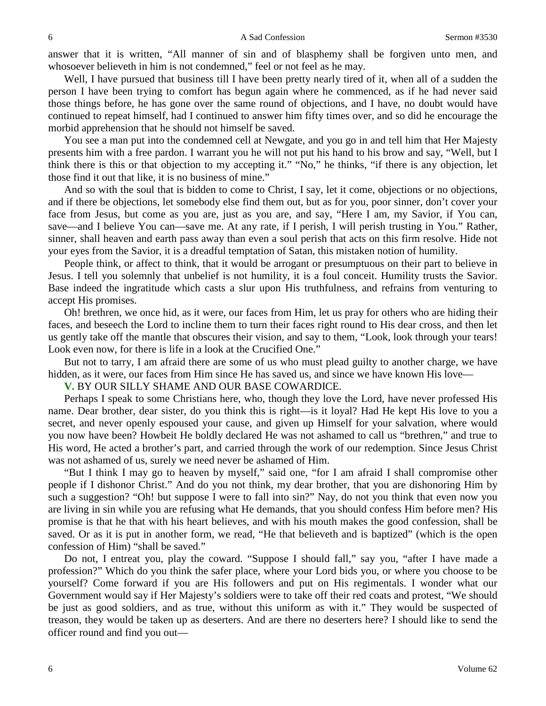answer that it is written, "All manner of sin and of blasphemy shall be forgiven unto men, and whosoever believeth in him is not condemned," feel or not feel as he may.

Well, I have pursued that business till I have been pretty nearly tired of it, when all of a sudden the person I have been trying to comfort has begun again where he commenced, as if he had never said those things before, he has gone over the same round of objections, and I have, no doubt would have continued to repeat himself, had I continued to answer him fifty times over, and so did he encourage the morbid apprehension that he should not himself be saved.

You see a man put into the condemned cell at Newgate, and you go in and tell him that Her Majesty presents him with a free pardon. I warrant you he will not put his hand to his brow and say, "Well, but I think there is this or that objection to my accepting it." "No," he thinks, "if there is any objection, let those find it out that like, it is no business of mine."

And so with the soul that is bidden to come to Christ, I say, let it come, objections or no objections, and if there be objections, let somebody else find them out, but as for you, poor sinner, don't cover your face from Jesus, but come as you are, just as you are, and say, "Here I am, my Savior, if You can, save—and I believe You can—save me. At any rate, if I perish, I will perish trusting in You." Rather, sinner, shall heaven and earth pass away than even a soul perish that acts on this firm resolve. Hide not your eyes from the Savior, it is a dreadful temptation of Satan, this mistaken notion of humility.

People think, or affect to think, that it would be arrogant or presumptuous on their part to believe in Jesus. I tell you solemnly that unbelief is not humility, it is a foul conceit. Humility trusts the Savior. Base indeed the ingratitude which casts a slur upon His truthfulness, and refrains from venturing to accept His promises.

Oh! brethren, we once hid, as it were, our faces from Him, let us pray for others who are hiding their faces, and beseech the Lord to incline them to turn their faces right round to His dear cross, and then let us gently take off the mantle that obscures their vision, and say to them, "Look, look through your tears! Look even now, for there is life in a look at the Crucified One."

But not to tarry, I am afraid there are some of us who must plead guilty to another charge, we have hidden, as it were, our faces from Him since He has saved us, and since we have known His love—

**V.** BY OUR SILLY SHAME AND OUR BASE COWARDICE.

Perhaps I speak to some Christians here, who, though they love the Lord, have never professed His name. Dear brother, dear sister, do you think this is right—is it loyal? Had He kept His love to you a secret, and never openly espoused your cause, and given up Himself for your salvation, where would you now have been? Howbeit He boldly declared He was not ashamed to call us "brethren," and true to His word, He acted a brother's part, and carried through the work of our redemption. Since Jesus Christ was not ashamed of us, surely we need never be ashamed of Him.

"But I think I may go to heaven by myself," said one, "for I am afraid I shall compromise other people if I dishonor Christ." And do you not think, my dear brother, that you are dishonoring Him by such a suggestion? "Oh! but suppose I were to fall into sin?" Nay, do not you think that even now you are living in sin while you are refusing what He demands, that you should confess Him before men? His promise is that he that with his heart believes, and with his mouth makes the good confession, shall be saved. Or as it is put in another form, we read, "He that believeth and is baptized" (which is the open confession of Him) "shall be saved."

Do not, I entreat you, play the coward. "Suppose I should fall," say you, "after I have made a profession?" Which do you think the safer place, where your Lord bids you, or where you choose to be yourself? Come forward if you are His followers and put on His regimentals. I wonder what our Government would say if Her Majesty's soldiers were to take off their red coats and protest, "We should be just as good soldiers, and as true, without this uniform as with it." They would be suspected of treason, they would be taken up as deserters. And are there no deserters here? I should like to send the officer round and find you out—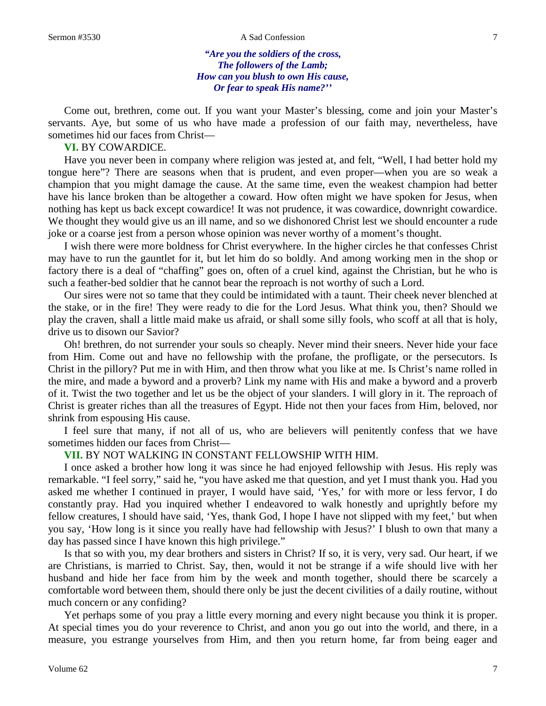#### Sermon #3530 A Sad Confession 7

## *"Are you the soldiers of the cross, The followers of the Lamb; How can you blush to own His cause, Or fear to speak His name?''*

Come out, brethren, come out. If you want your Master's blessing, come and join your Master's servants. Aye, but some of us who have made a profession of our faith may, nevertheless, have sometimes hid our faces from Christ—

## **VI.** BY COWARDICE.

Have you never been in company where religion was jested at, and felt, "Well, I had better hold my tongue here"? There are seasons when that is prudent, and even proper—when you are so weak a champion that you might damage the cause. At the same time, even the weakest champion had better have his lance broken than be altogether a coward. How often might we have spoken for Jesus, when nothing has kept us back except cowardice! It was not prudence, it was cowardice, downright cowardice. We thought they would give us an ill name, and so we dishonored Christ lest we should encounter a rude joke or a coarse jest from a person whose opinion was never worthy of a moment's thought.

I wish there were more boldness for Christ everywhere. In the higher circles he that confesses Christ may have to run the gauntlet for it, but let him do so boldly. And among working men in the shop or factory there is a deal of "chaffing" goes on, often of a cruel kind, against the Christian, but he who is such a feather-bed soldier that he cannot bear the reproach is not worthy of such a Lord.

Our sires were not so tame that they could be intimidated with a taunt. Their cheek never blenched at the stake, or in the fire! They were ready to die for the Lord Jesus. What think you, then? Should we play the craven, shall a little maid make us afraid, or shall some silly fools, who scoff at all that is holy, drive us to disown our Savior?

Oh! brethren, do not surrender your souls so cheaply. Never mind their sneers. Never hide your face from Him. Come out and have no fellowship with the profane, the profligate, or the persecutors. Is Christ in the pillory? Put me in with Him, and then throw what you like at me. Is Christ's name rolled in the mire, and made a byword and a proverb? Link my name with His and make a byword and a proverb of it. Twist the two together and let us be the object of your slanders. I will glory in it. The reproach of Christ is greater riches than all the treasures of Egypt. Hide not then your faces from Him, beloved, nor shrink from espousing His cause.

I feel sure that many, if not all of us, who are believers will penitently confess that we have sometimes hidden our faces from Christ—

## **VII.** BY NOT WALKING IN CONSTANT FELLOWSHIP WITH HIM.

I once asked a brother how long it was since he had enjoyed fellowship with Jesus. His reply was remarkable. "I feel sorry," said he, "you have asked me that question, and yet I must thank you. Had you asked me whether I continued in prayer, I would have said, 'Yes,' for with more or less fervor, I do constantly pray. Had you inquired whether I endeavored to walk honestly and uprightly before my fellow creatures, I should have said, 'Yes, thank God, I hope I have not slipped with my feet,' but when you say, 'How long is it since you really have had fellowship with Jesus?' I blush to own that many a day has passed since I have known this high privilege."

Is that so with you, my dear brothers and sisters in Christ? If so, it is very, very sad. Our heart, if we are Christians, is married to Christ. Say, then, would it not be strange if a wife should live with her husband and hide her face from him by the week and month together, should there be scarcely a comfortable word between them, should there only be just the decent civilities of a daily routine, without much concern or any confiding?

Yet perhaps some of you pray a little every morning and every night because you think it is proper. At special times you do your reverence to Christ, and anon you go out into the world, and there, in a measure, you estrange yourselves from Him, and then you return home, far from being eager and